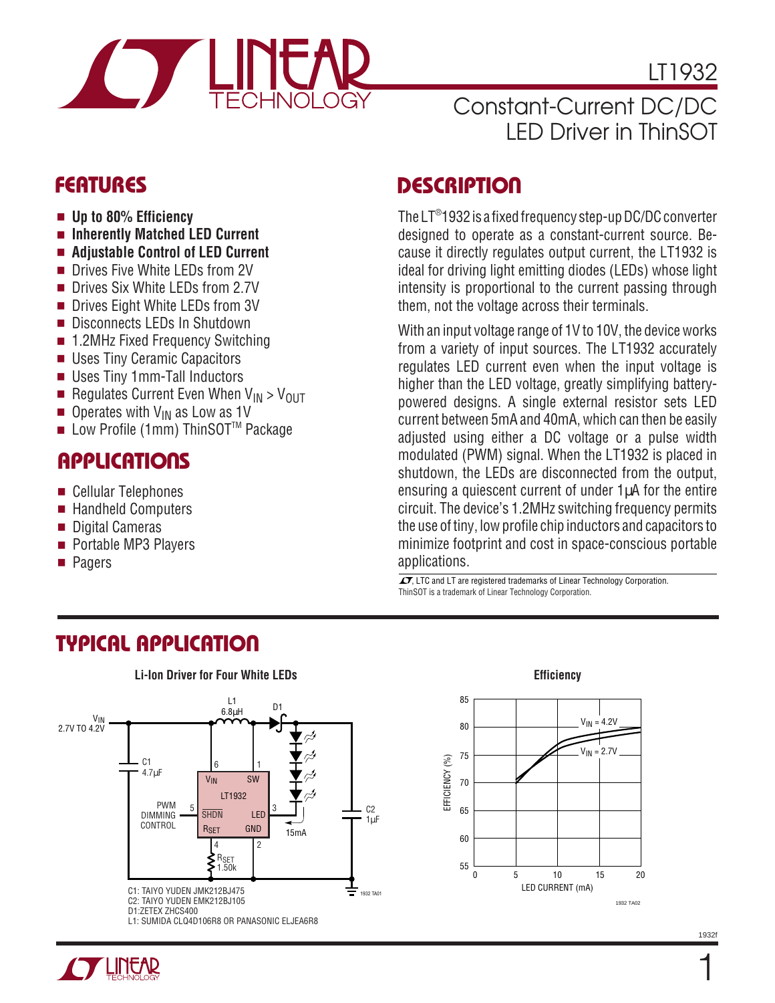

LT1932

# Constant-Current DC/DC LED Driver in ThinSOT

- **Up to 80% Efficiency**
- **Inherently Matched LED Current**
- **Adjustable Control of LED Current**
- Drives Five White LEDs from 2V
- Drives Six White LEDs from 2.7V
- Drives Eight White LEDs from 3V
- Disconnects LEDs In Shutdown
- 1.2MHz Fixed Frequency Switching
- Uses Tiny Ceramic Capacitors
- Uses Tiny 1mm-Tall Inductors
- **Regulates Current Even When**  $V_{IN} > V_{OUT}$
- Operates with V<sub>IN</sub> as Low as 1V
- Low Profile (1mm) ThinSOT™ Package

### **APPLICATIONS**

- Cellular Telephones
- Handheld Computers
- Digital Cameras
- Portable MP3 Players
- **Pagers**

### **FEATURES DESCRIPTIO <sup>U</sup>**

The LT® 1932 is a fixed frequency step-up DC/DC converter designed to operate as a constant-current source. Because it directly regulates output current, the LT1932 is ideal for driving light emitting diodes (LEDs) whose light intensity is proportional to the current passing through them, not the voltage across their terminals.

With an input voltage range of 1V to 10V, the device works from a variety of input sources. The LT1932 accurately regulates LED current even when the input voltage is higher than the LED voltage, greatly simplifying batterypowered designs. A single external resistor sets LED current between 5mA and 40mA, which can then be easily adjusted using either a DC voltage or a pulse width modulated (PWM) signal. When the LT1932 is placed in shutdown, the LEDs are disconnected from the output, ensuring a quiescent current of under  $1\mu A$  for the entire circuit. The device's 1.2MHz switching frequency permits the use of tiny, low profile chip inductors and capacitors to minimize footprint and cost in space-conscious portable applications.

 $\overline{\mathcal{A}}$ , LTC and LT are registered trademarks of Linear Technology Corporation. ThinSOT is a trademark of Linear Technology Corporation.



### **TYPICAL APPLICATIO U**

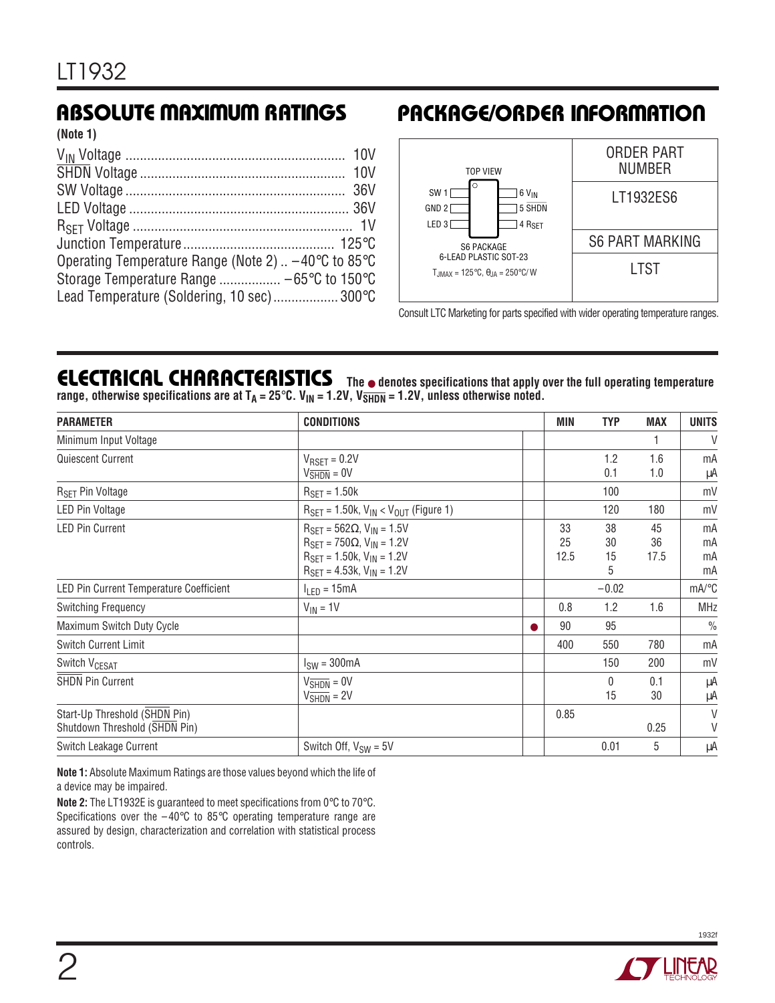**(Note 1)**

| Operating Temperature Range (Note 2) $\dots$ -40 $\degree$ C to 85 $\degree$ C |  |
|--------------------------------------------------------------------------------|--|
|                                                                                |  |
| Lead Temperature (Soldering, 10 sec) 300°C                                     |  |

### **ABSOLUTE MAXIMUM RATINGS PACKAGE/ORDER INFORMATION**



Consult LTC Marketing for parts specified with wider operating temperature ranges.

#### **ELECTRICAL CHARACTERISTICS** The  $\bullet$  denotes specifications that apply over the full operating temperature range, otherwise specifications are at  $T_A = 25^\circ \text{C}$ .  $V_{IN} = 1.2V$ ,  $V_{SHDN} = 1.2V$ , unless otherwise noted.

| <b>PARAMETER</b>                                               | <b>CONDITIONS</b>                                                                                                                                                                                                    | MIN              | <b>TYP</b>          | <b>MAX</b>       | <b>UNITS</b>          |
|----------------------------------------------------------------|----------------------------------------------------------------------------------------------------------------------------------------------------------------------------------------------------------------------|------------------|---------------------|------------------|-----------------------|
| Minimum Input Voltage                                          |                                                                                                                                                                                                                      |                  |                     |                  | $\vee$                |
| Quiescent Current                                              | $V_{RSET} = 0.2V$<br>$V_{\overline{\text{SHDN}}} = 0V$                                                                                                                                                               |                  | 1.2<br>0.1          | 1.6<br>1.0       | mA<br>μA              |
| R <sub>SET</sub> Pin Voltage                                   | $R_{\text{SET}} = 1.50k$                                                                                                                                                                                             |                  | 100                 |                  | mV                    |
| LED Pin Voltage                                                | $R_{\text{SET}} = 1.50$ k, V <sub>IN</sub> < V <sub>OUT</sub> (Figure 1)                                                                                                                                             |                  | 120                 | 180              | mV                    |
| <b>LED Pin Current</b>                                         | $R_{\text{SET}} = 562\Omega$ , $V_{\text{IN}} = 1.5V$<br>$R_{\text{SFT}} = 750 \Omega$ , $V_{\text{IN}} = 1.2 V$<br>$R_{\text{SET}} = 1.50k, V_{\text{IN}} = 1.2V$<br>$R_{\text{SET}} = 4.53k, V_{\text{IN}} = 1.2V$ | 33<br>25<br>12.5 | 38<br>30<br>15<br>5 | 45<br>36<br>17.5 | mA<br>mA<br>mA<br>mA  |
| LED Pin Current Temperature Coefficient                        | $I_{LED} = 15mA$                                                                                                                                                                                                     |                  | $-0.02$             |                  | $mA$ <sup>o</sup> $C$ |
| <b>Switching Frequency</b>                                     | $V_{IN} = 1V$                                                                                                                                                                                                        | 0.8              | 1.2                 | 1.6              | <b>MHz</b>            |
| Maximum Switch Duty Cycle                                      |                                                                                                                                                                                                                      | 90               | 95                  |                  | $\frac{0}{0}$         |
| <b>Switch Current Limit</b>                                    |                                                                                                                                                                                                                      | 400              | 550                 | 780              | mA                    |
| Switch V <sub>CESAT</sub>                                      | $ISW = 300mA$                                                                                                                                                                                                        |                  | 150                 | 200              | mV                    |
| <b>SHDN Pin Current</b>                                        | $V_{\overline{\text{SHDN}}} = 0V$<br>$VSHDN = 2V$                                                                                                                                                                    |                  | $\Omega$<br>15      | 0.1<br>30        | μA<br>μA              |
| Start-Up Threshold (SHDN Pin)<br>Shutdown Threshold (SHDN Pin) |                                                                                                                                                                                                                      | 0.85             |                     | 0.25             | $\vee$<br>V           |
| Switch Leakage Current                                         | Switch Off, $V_{SW} = 5V$                                                                                                                                                                                            |                  | 0.01                | 5                | μA                    |

**Note 1:** Absolute Maximum Ratings are those values beyond which the life of a device may be impaired.

**Note 2:** The LT1932E is guaranteed to meet specifications from 0°C to 70°C. Specifications over the  $-40^{\circ}$ C to 85 $^{\circ}$ C operating temperature range are assured by design, characterization and correlation with statistical process controls.

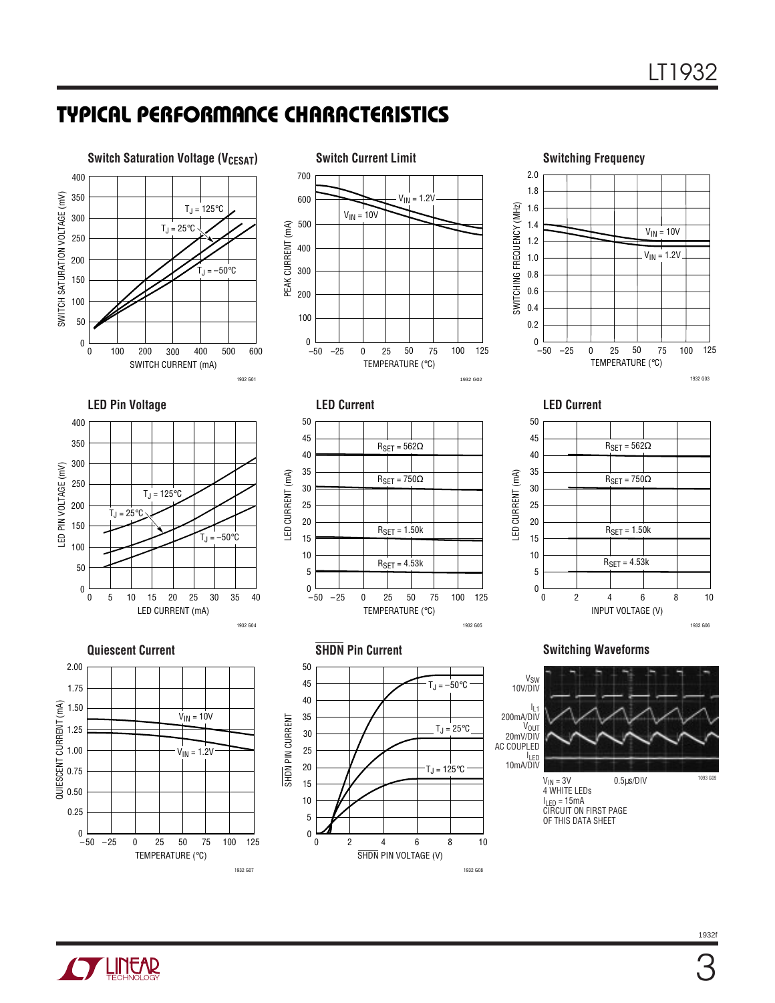# **TYPICAL PERFORMANCE CHARACTERISTICS**



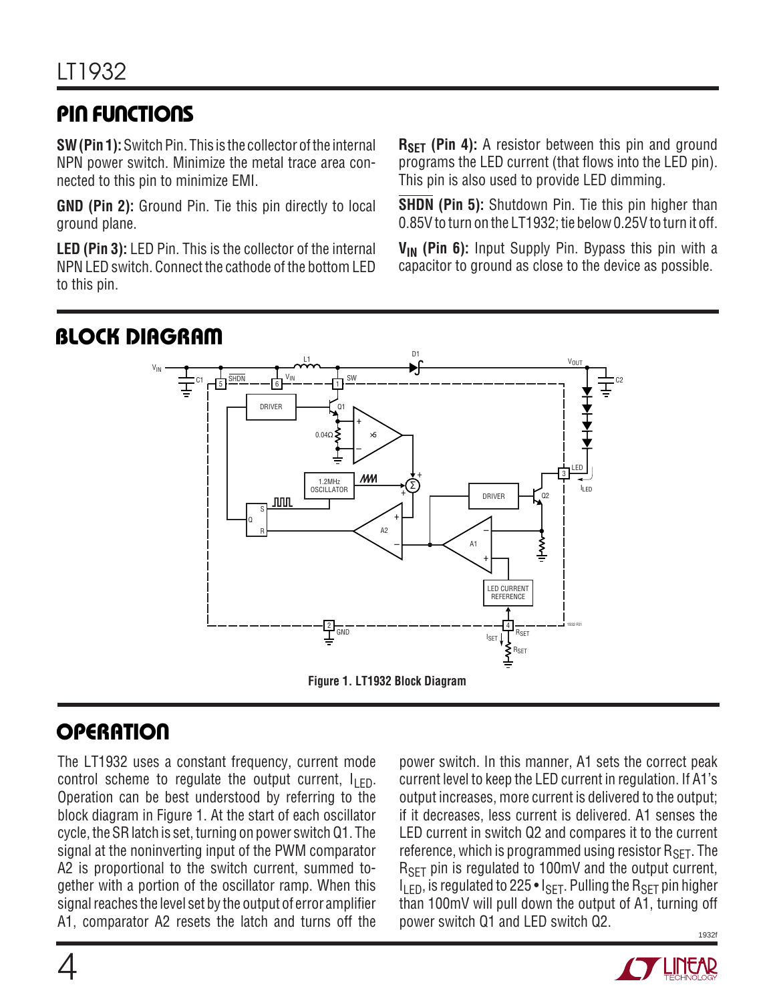# **PIN FUNCTIONS**

**SW (Pin 1):** Switch Pin. This is the collector of the internal NPN power switch. Minimize the metal trace area connected to this pin to minimize EMI.

**GND (Pin 2):** Ground Pin. Tie this pin directly to local ground plane.

**LED (Pin 3):** LED Pin. This is the collector of the internal NPN LED switch. Connect the cathode of the bottom LED to this pin.

**RSET** (Pin 4): A resistor between this pin and ground programs the LED current (that flows into the LED pin). This pin is also used to provide LED dimming.

**SHDN (Pin 5):** Shutdown Pin. Tie this pin higher than 0.85V to turn on the LT1932; tie below 0.25V to turn it off.

**V<sub>IN</sub>** (Pin 6): Input Supply Pin. Bypass this pin with a capacitor to ground as close to the device as possible.



# **OPERATION**

The LT1932 uses a constant frequency, current mode control scheme to regulate the output current,  $I_{\text{F}}$ . Operation can be best understood by referring to the block diagram in Figure 1. At the start of each oscillator cycle, the SR latch is set, turning on power switch Q1. The signal at the noninverting input of the PWM comparator A2 is proportional to the switch current, summed together with a portion of the oscillator ramp. When this signal reaches the level set by the output of error amplifier A1, comparator A2 resets the latch and turns off the

1932f power switch. In this manner, A1 sets the correct peak current level to keep the LED current in regulation. If A1's output increases, more current is delivered to the output; if it decreases, less current is delivered. A1 senses the LED current in switch Q2 and compares it to the current reference, which is programmed using resistor  $R_{\text{SFT}}$ . The R<sub>SET</sub> pin is regulated to 100mV and the output current,  $I_{LED}$ , is regulated to 225 •  $I_{SET}$ . Pulling the  $R_{SET}$  pin higher than 100mV will pull down the output of A1, turning off power switch Q1 and LED switch Q2.

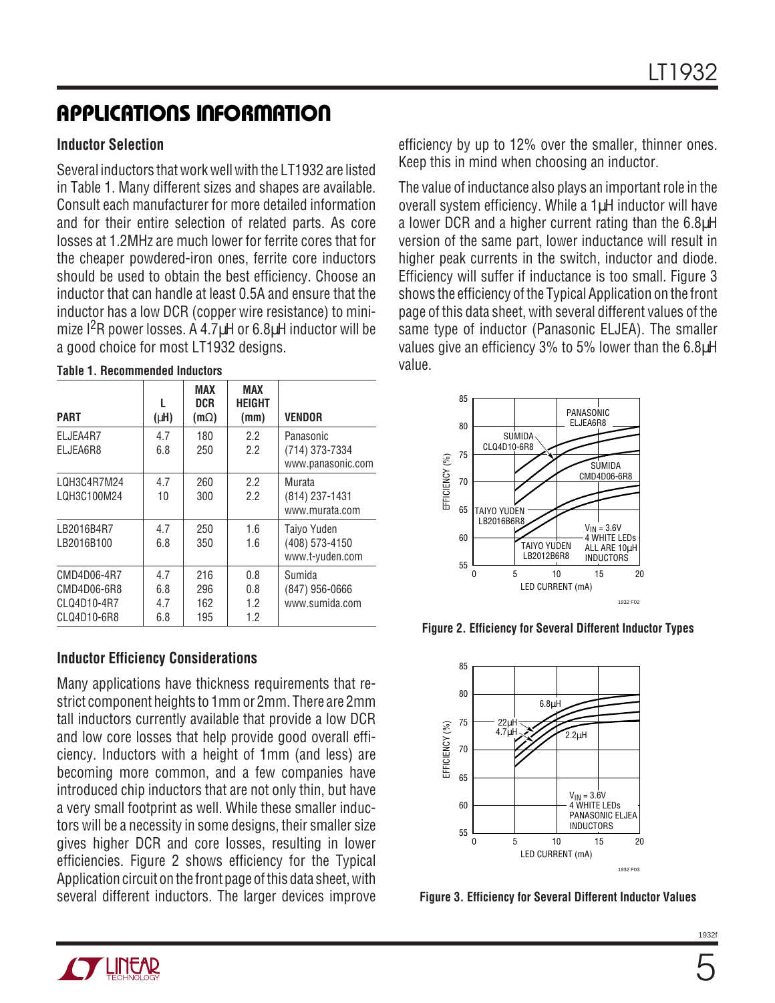#### **Inductor Selection**

Several inductors that work well with the LT1932 are listed in Table 1. Many different sizes and shapes are available. Consult each manufacturer for more detailed information and for their entire selection of related parts. As core losses at 1.2MHz are much lower for ferrite cores that for the cheaper powdered-iron ones, ferrite core inductors should be used to obtain the best efficiency. Choose an inductor that can handle at least 0.5A and ensure that the inductor has a low DCR (copper wire resistance) to minimize I<sup>2</sup>R power losses. A 4.7<sup>uH</sup> or 6.8<sup>uH</sup> inductor will be a good choice for most LT1932 designs.

| <b>PART</b>                                              | $(\mu H)$                | MAX<br><b>DCR</b><br>$(m\Omega)$ | <b>MAX</b><br><b>HEIGHT</b><br>(mm) | <b>VENDOR</b>                                    |
|----------------------------------------------------------|--------------------------|----------------------------------|-------------------------------------|--------------------------------------------------|
| ELJEA4R7<br>ELJEA6R8                                     | 4.7<br>6.8               | 180<br>250                       | $2.2\,$<br>2.2                      | Panasonic<br>(714) 373-7334<br>www.panasonic.com |
| LQH3C4R7M24<br>LQH3C100M24                               | 4.7<br>10                | 260<br>300                       | 22<br>2.2                           | Murata<br>(814) 237-1431<br>www.murata.com       |
| LB2016B4R7<br>LB2016B100                                 | 4.7<br>6.8               | 250<br>350                       | 1.6<br>1.6                          | Taiyo Yuden<br>(408) 573-4150<br>www.t-yuden.com |
| CMD4D06-4R7<br>CMD4D06-6R8<br>CLQ4D10-4R7<br>CLQ4D10-6R8 | 4.7<br>6.8<br>4.7<br>6.8 | 216<br>296<br>162<br>195         | 0.8<br>0.8<br>1.2<br>1.2            | Sumida<br>$(847)$ 956-0666<br>www.sumida.com     |

#### **Table 1. Recommended Inductors**

#### **Inductor Efficiency Considerations**

Many applications have thickness requirements that restrict component heights to 1mm or 2mm. There are 2mm tall inductors currently available that provide a low DCR and low core losses that help provide good overall efficiency. Inductors with a height of 1mm (and less) are becoming more common, and a few companies have introduced chip inductors that are not only thin, but have a very small footprint as well. While these smaller inductors will be a necessity in some designs, their smaller size gives higher DCR and core losses, resulting in lower efficiencies. Figure 2 shows efficiency for the Typical Application circuit on the front page of this data sheet, with several different inductors. The larger devices improve

efficiency by up to 12% over the smaller, thinner ones. Keep this in mind when choosing an inductor.

The value of inductance also plays an important role in the overall system efficiency. While a 1µH inductor will have a lower DCR and a higher current rating than the 6.8µH version of the same part, lower inductance will result in higher peak currents in the switch, inductor and diode. Efficiency will suffer if inductance is too small. Figure 3 shows the efficiency of the Typical Application on the front page of this data sheet, with several different values of the same type of inductor (Panasonic ELJEA). The smaller values give an efficiency 3% to 5% lower than the 6.8µH value.







**Figure 3. Efficiency for Several Different Inductor Values**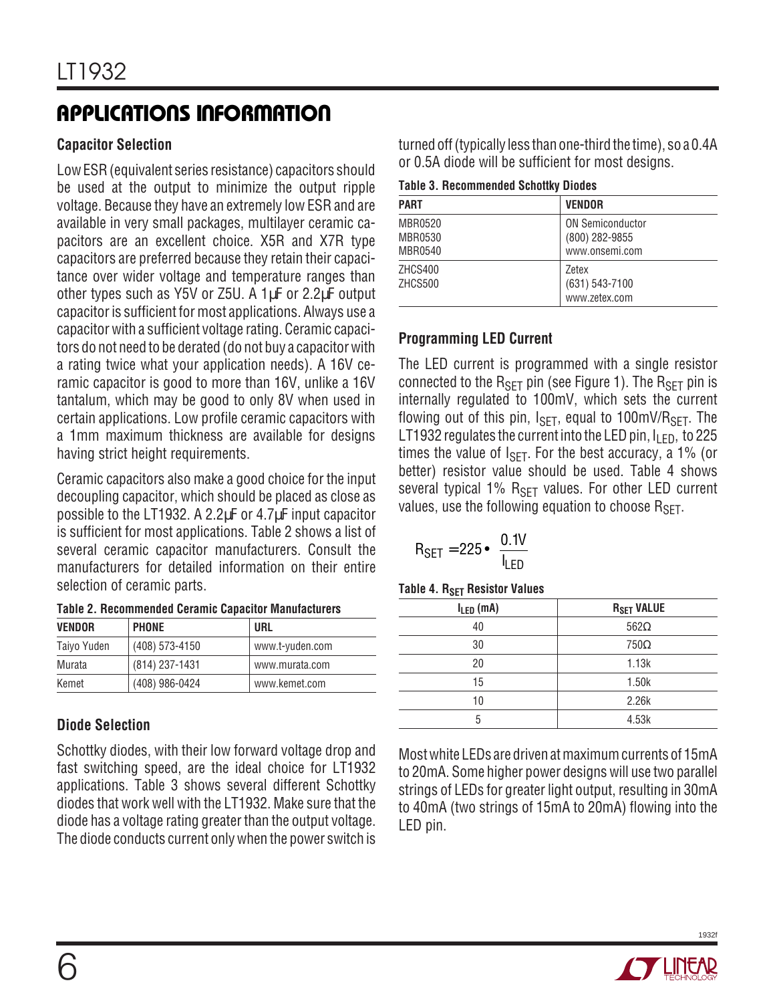#### **Capacitor Selection**

Low ESR (equivalent series resistance) capacitors should be used at the output to minimize the output ripple voltage. Because they have an extremely low ESR and are available in very small packages, multilayer ceramic capacitors are an excellent choice. X5R and X7R type capacitors are preferred because they retain their capacitance over wider voltage and temperature ranges than other types such as Y5V or Z5U. A 1µF or 2.2µF output capacitor is sufficient for most applications. Always use a capacitor with a sufficient voltage rating. Ceramic capacitors do not need to be derated (do not buy a capacitor with a rating twice what your application needs). A 16V ceramic capacitor is good to more than 16V, unlike a 16V tantalum, which may be good to only 8V when used in certain applications. Low profile ceramic capacitors with a 1mm maximum thickness are available for designs having strict height requirements.

Ceramic capacitors also make a good choice for the input decoupling capacitor, which should be placed as close as possible to the LT1932. A 2.2µF or 4.7µF input capacitor is sufficient for most applications. Table 2 shows a list of several ceramic capacitor manufacturers. Consult the manufacturers for detailed information on their entire selection of ceramic parts.

| <b>VENDOR</b> | <b>PHONE</b>   | URL             |
|---------------|----------------|-----------------|
| Taiyo Yuden   | (408) 573-4150 | www.t-yuden.com |
| Murata        | (814) 237-1431 | www.murata.com  |
| Kemet         | (408) 986-0424 | www.kemet.com   |

### **Diode Selection**

Schottky diodes, with their low forward voltage drop and fast switching speed, are the ideal choice for LT1932 applications. Table 3 shows several different Schottky diodes that work well with the LT1932. Make sure that the diode has a voltage rating greater than the output voltage. The diode conducts current only when the power switch is

turned off (typically less than one-third the time), so a 0.4A or 0.5A diode will be sufficient for most designs.

|  |  |  | <b>Table 3. Recommended Schottky Diodes</b> |  |  |
|--|--|--|---------------------------------------------|--|--|
|--|--|--|---------------------------------------------|--|--|

| <b>PART</b>                   | <b>VENDOR</b>                                               |
|-------------------------------|-------------------------------------------------------------|
| MBR0520<br>MBR0530<br>MBR0540 | <b>ON Semiconductor</b><br>(800) 282-9855<br>www.onsemi.com |
| ZHCS400<br>ZHCS500            | Zetex<br>(631) 543-7100<br>www.zetex.com                    |

### **Programming LED Current**

The LED current is programmed with a single resistor connected to the  $R_{SFT}$  pin (see Figure 1). The  $R_{SFT}$  pin is internally regulated to 100mV, which sets the current flowing out of this pin,  $I_{\text{SFT}}$ , equal to 100mV/R<sub>SFT</sub>. The LT1932 regulates the current into the LED pin,  $I_{\text{IFD}}$ , to 225 times the value of  $I_{\text{SFT}}$ . For the best accuracy, a 1% (or better) resistor value should be used. Table 4 shows several typical 1% R<sub>SFT</sub> values. For other LED current values, use the following equation to choose  $R_{\text{SFT}}$ .

$$
R_{SET} = 225 \cdot \left(\frac{0.1V}{I_{LED}}\right)
$$

| $I_{LED}$ (mA) | <b>R<sub>SET</sub> VALUE</b> |
|----------------|------------------------------|
| 40             | $562\Omega$                  |
| 30             | $750\Omega$                  |
| 20             | 1.13k                        |
| 15             | 1.50k                        |
| 10             | 2.26k                        |
| 5              | 4.53k                        |

Most white LEDs are driven at maximum currents of 15mA to 20mA. Some higher power designs will use two parallel strings of LEDs for greater light output, resulting in 30mA to 40mA (two strings of 15mA to 20mA) flowing into the LED pin.

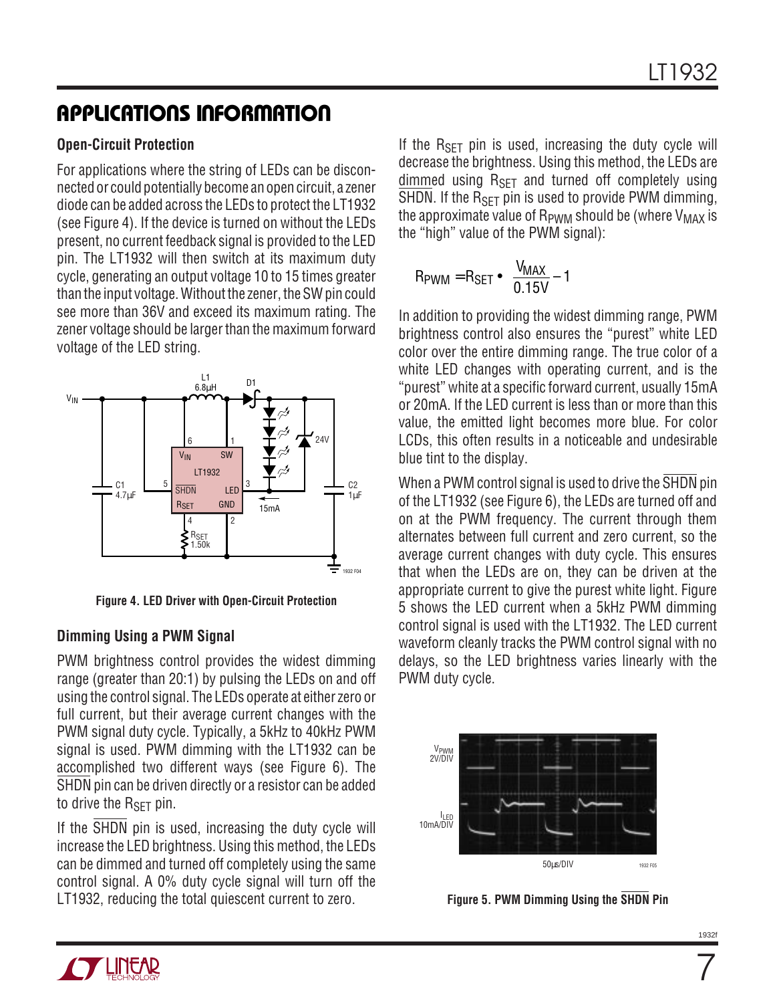#### **Open-Circuit Protection**

For applications where the string of LEDs can be disconnected or could potentially become an open circuit, a zener diode can be added across the LEDs to protect the LT1932 (see Figure 4). If the device is turned on without the LEDs present, no current feedback signal is provided to the LED pin. The LT1932 will then switch at its maximum duty cycle, generating an output voltage 10 to 15 times greater than the input voltage. Without the zener, the SW pin could see more than 36V and exceed its maximum rating. The zener voltage should be larger than the maximum forward voltage of the LED string.



**Figure 4. LED Driver with Open-Circuit Protection**

#### **Dimming Using a PWM Signal**

PWM brightness control provides the widest dimming range (greater than 20:1) by pulsing the LEDs on and off using the control signal. The LEDs operate at either zero or full current, but their average current changes with the PWM signal duty cycle. Typically, a 5kHz to 40kHz PWM signal is used. PWM dimming with the LT1932 can be accomplished two different ways (see Figure 6). The SHDN pin can be driven directly or a resistor can be added to drive the  $R_{\text{SFT}}$  pin.

If the SHDN pin is used, increasing the duty cycle will increase the LED brightness. Using this method, the LEDs can be dimmed and turned off completely using the same control signal. A 0% duty cycle signal will turn off the LT1932, reducing the total quiescent current to zero.

If the  $R_{SFT}$  pin is used, increasing the duty cycle will decrease the brightness. Using this method, the LEDs are dimmed using  $R_{\text{SFT}}$  and turned off completely using  $\overline{\text{SHDN}}$ . If the  $\text{R}_{\text{SFT}}$  pin is used to provide PWM dimming, the approximate value of  $R_{\text{PWM}}$  should be (where  $V_{\text{MAX}}$  is the "high" value of the PWM signal):

$$
R_{\text{PWM}} = R_{\text{SET}} \cdot \left( \frac{V_{\text{MAX}}}{0.15V} - 1 \right)
$$

In addition to providing the widest dimming range, PWM brightness control also ensures the "purest" white LED color over the entire dimming range. The true color of a white LED changes with operating current, and is the "purest" white at a specific forward current, usually 15mA or 20mA. If the LED current is less than or more than this value, the emitted light becomes more blue. For color LCDs, this often results in a noticeable and undesirable blue tint to the display.

When a PWM control signal is used to drive the SHDN pin of the LT1932 (see Figure 6), the LEDs are turned off and on at the PWM frequency. The current through them alternates between full current and zero current, so the average current changes with duty cycle. This ensures that when the LEDs are on, they can be driven at the appropriate current to give the purest white light. Figure 5 shows the LED current when a 5kHz PWM dimming control signal is used with the LT1932. The LED current waveform cleanly tracks the PWM control signal with no delays, so the LED brightness varies linearly with the PWM duty cycle.



**Figure 5. PWM Dimming Using the SHDN Pin**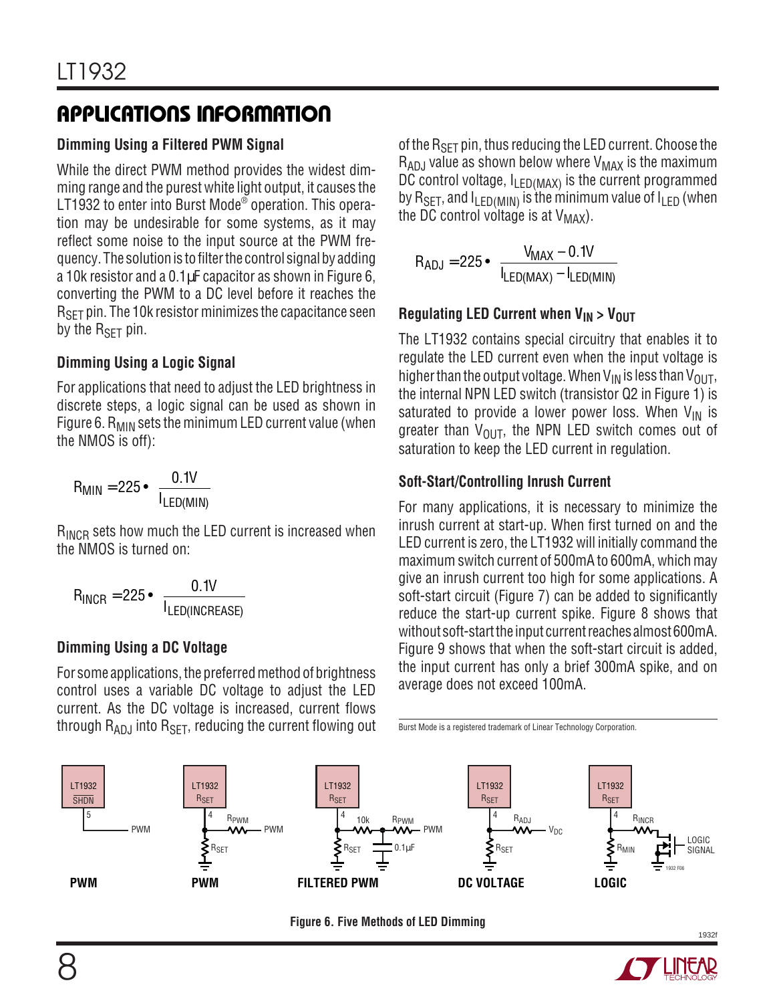#### **Dimming Using a Filtered PWM Signal**

While the direct PWM method provides the widest dimming range and the purest white light output, it causes the LT1932 to enter into Burst Mode $^\circ$  operation. This operation may be undesirable for some systems, as it may reflect some noise to the input source at the PWM frequency. The solution is to filter the control signal by adding a 10k resistor and a 0.1µF capacitor as shown in Figure 6, converting the PWM to a DC level before it reaches the  $R_{\rm SFT}$  pin. The 10k resistor minimizes the capacitance seen by the  $R_{SFT}$  pin.

#### **Dimming Using a Logic Signal**

For applications that need to adjust the LED brightness in discrete steps, a logic signal can be used as shown in Figure 6.  $R_{MIN}$  sets the minimum LED current value (when the NMOS is off):

$$
R_{MIN} = 225 \cdot \left(\frac{0.1V}{I_{LED(MIN)}}\right)
$$

R<sub>INCR</sub> sets how much the LED current is increased when the NMOS is turned on:

$$
R_{INCR} = 225 \cdot \left(\frac{0.1V}{I_{LED(INCREASE)}}\right)
$$

#### **Dimming Using a DC Voltage**

For some applications, the preferred method of brightness control uses a variable DC voltage to adjust the LED current. As the DC voltage is increased, current flows through  $R_{AD,I}$  into  $R_{SFT}$ , reducing the current flowing out of the R<sub>SFT</sub> pin, thus reducing the LED current. Choose the  $R_{ADJ}$  value as shown below where  $V_{MAX}$  is the maximum DC control voltage,  $I_{LED(MAX)}$  is the current programmed by R<sub>SFT</sub>, and  $I_{\text{FDMIN}}$  is the minimum value of  $I_{\text{F}}$  (when the DC control voltage is at  $V_{MAX}$ ).

$$
R_{ADJ} = 225 \cdot \left( \frac{V_{MAX} - 0.1V}{I_{LED(MAX)} - I_{LED(MIN)}} \right)
$$

#### **Regulating LED Current when V<sub>IN</sub> > V<sub>OUT</sub>**

The LT1932 contains special circuitry that enables it to regulate the LED current even when the input voltage is higher than the output voltage. When  $V_{IN}$  is less than  $V_{OUT}$ , the internal NPN LED switch (transistor Q2 in Figure 1) is saturated to provide a lower power loss. When  $V_{IN}$  is greater than  $V_{\text{OUT}}$ , the NPN LED switch comes out of saturation to keep the LED current in regulation.

#### **Soft-Start/Controlling Inrush Current**

For many applications, it is necessary to minimize the inrush current at start-up. When first turned on and the LED current is zero, the LT1932 will initially command the maximum switch current of 500mA to 600mA, which may give an inrush current too high for some applications. A soft-start circuit (Figure 7) can be added to significantly reduce the start-up current spike. Figure 8 shows that without soft-start the input current reaches almost 600mA. Figure 9 shows that when the soft-start circuit is added, the input current has only a brief 300mA spike, and on average does not exceed 100mA.

Burst Mode is a registered trademark of Linear Technology Corporation.



**Figure 6. Five Methods of LED Dimming**

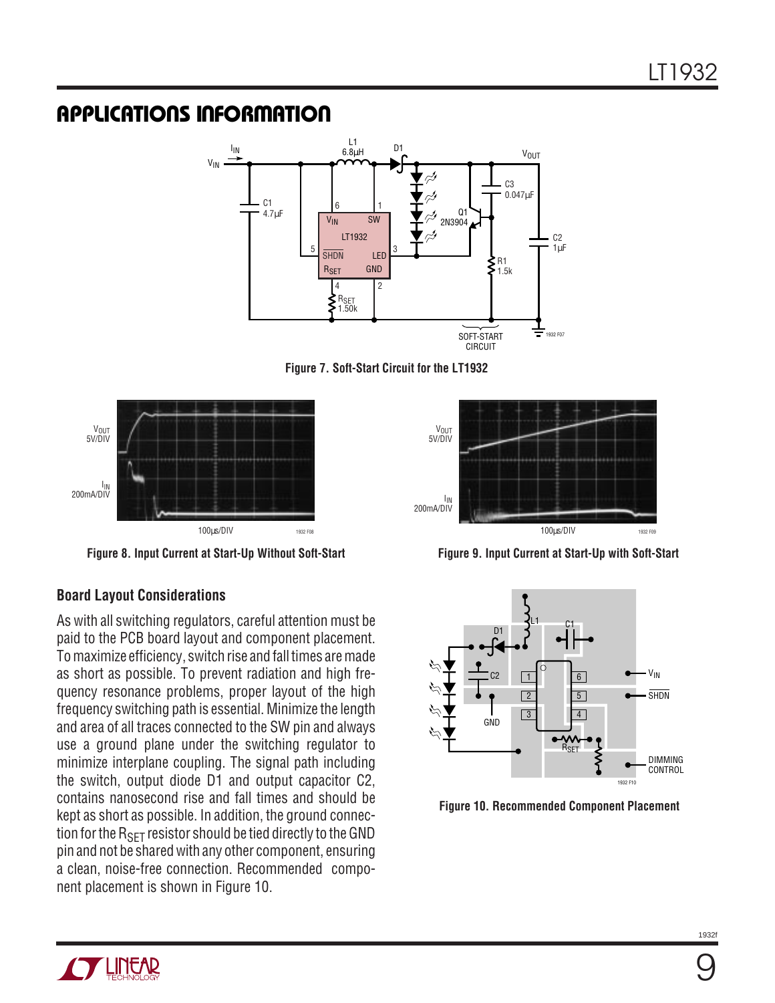

**Figure 7. Soft-Start Circuit for the LT1932**



**Figure 8. Input Current at Start-Up Without Soft-Start**

#### **Board Layout Considerations**

As with all switching regulators, careful attention must be paid to the PCB board layout and component placement. To maximize efficiency, switch rise and fall times are made as short as possible. To prevent radiation and high frequency resonance problems, proper layout of the high frequency switching path is essential. Minimize the length and area of all traces connected to the SW pin and always use a ground plane under the switching regulator to minimize interplane coupling. The signal path including the switch, output diode D1 and output capacitor C2, contains nanosecond rise and fall times and should be kept as short as possible. In addition, the ground connection for the  $R_{\text{SFT}}$  resistor should be tied directly to the GND pin and not be shared with any other component, ensuring a clean, noise-free connection. Recommended component placement is shown in Figure 10.



**Figure 9. Input Current at Start-Up with Soft-Start**



**Figure 10. Recommended Component Placement**

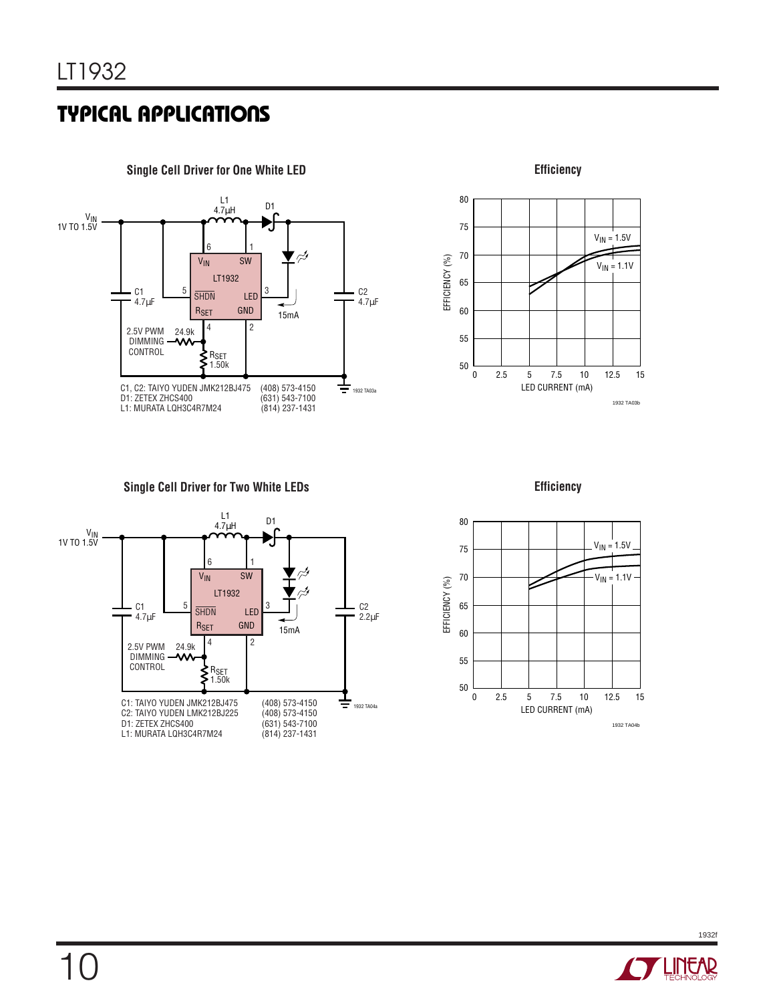



**Single Cell Driver for Two White LEDs**



**Efficiency**



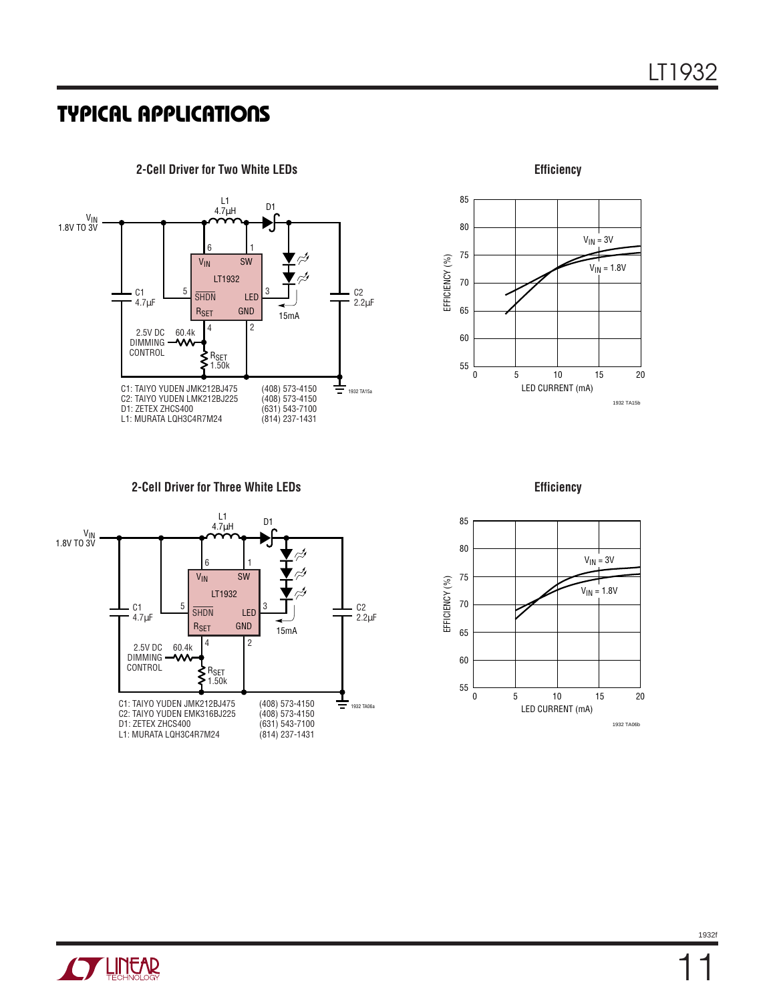

85 80  $V_{IN} = 3V$ 75 EFFICIENCY (%) EFFICIENCY (%)  $V_{IN} = 1.8V$ 70 65 60 55 0 5 15 10 20 LED CURRENT (mA) 1932 TA15b

**Efficiency**

**2-Cell Driver for Three White LEDs Efficiency**





**STARTED BY**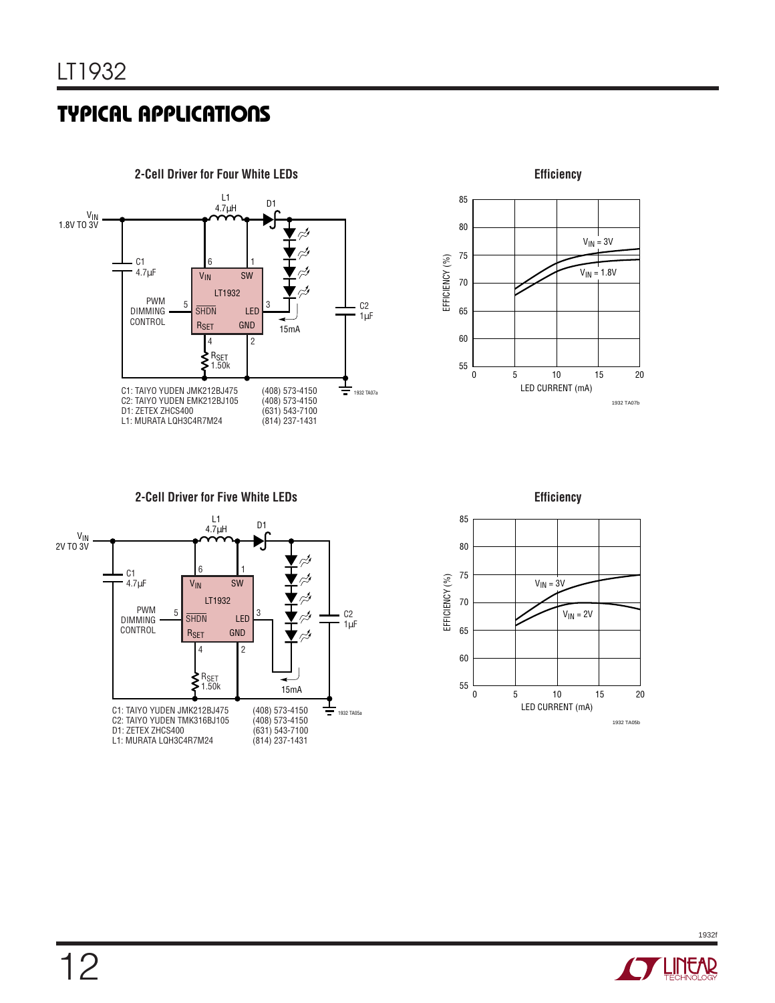



**2-Cell Driver for Five White LEDs**



**Efficiency**



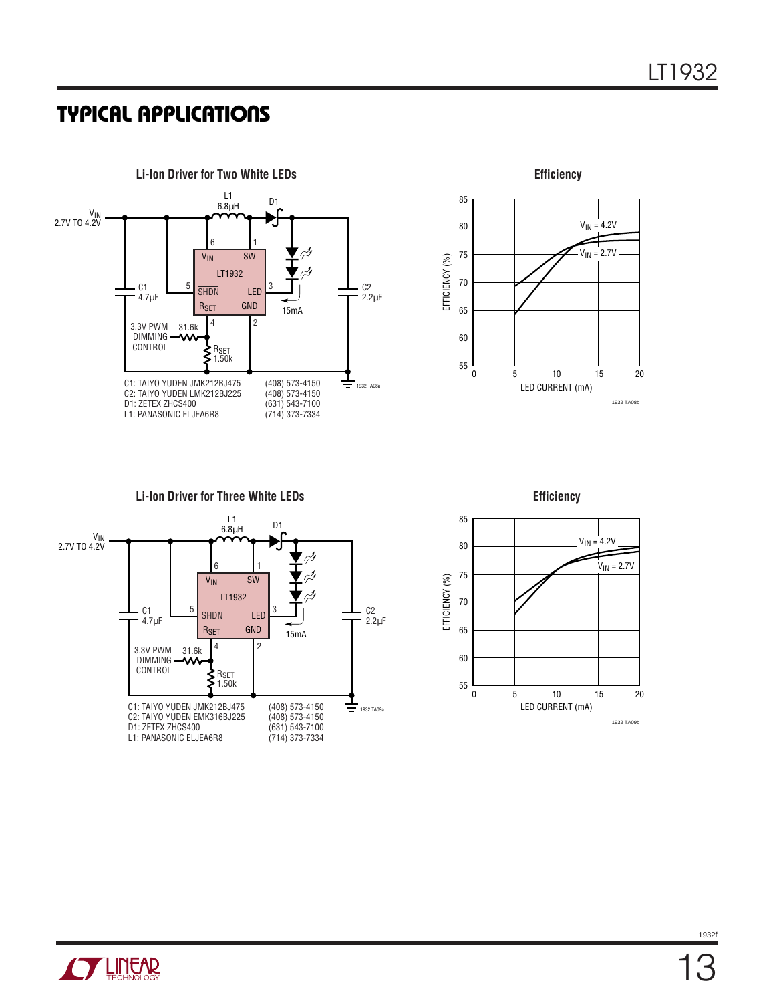



**Li-Ion Driver for Three White LEDs Efficiency**







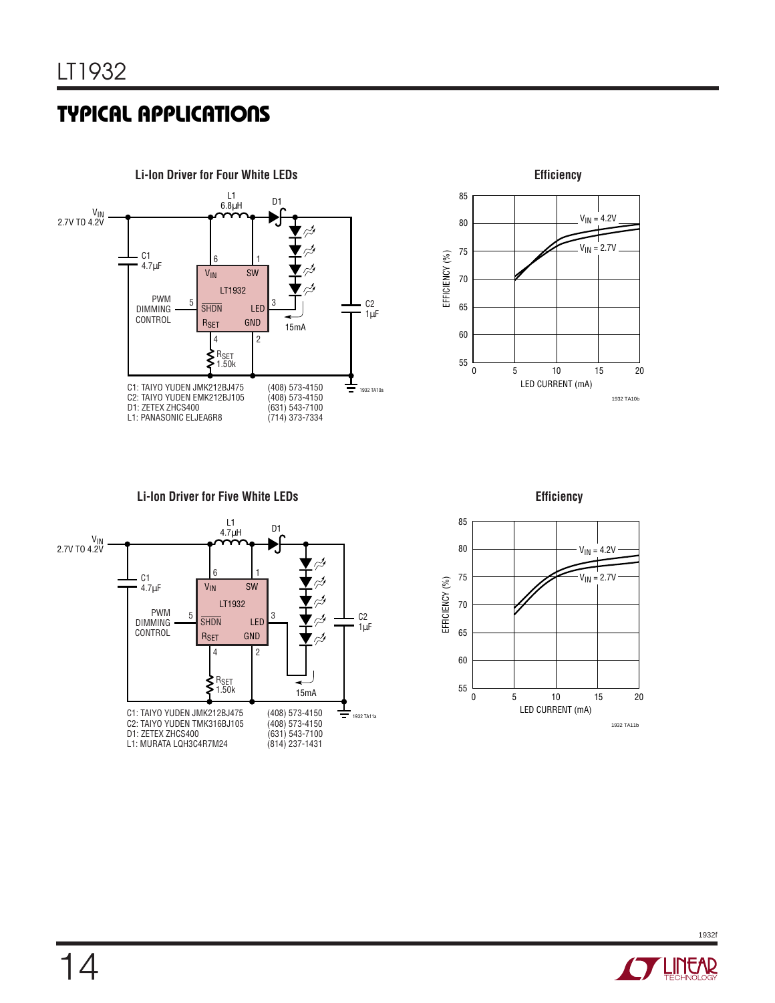



**Li-Ion Driver for Five White LEDs Efficiency**





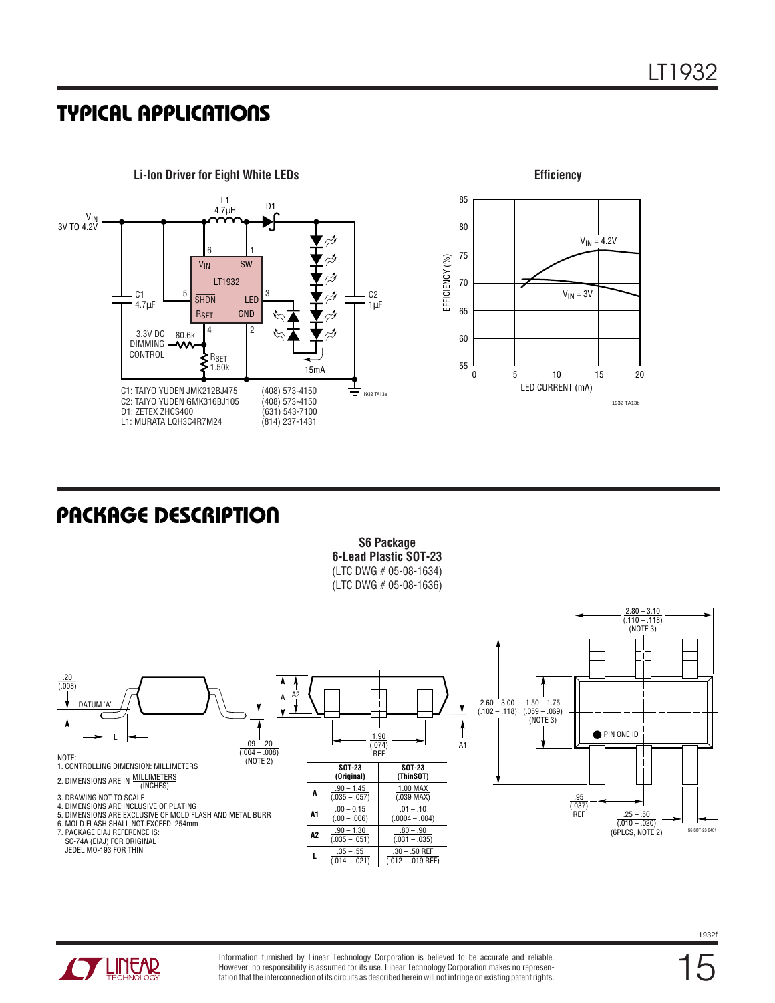

### **U PACKAGE DESCRIPTIO**

**S6 Package 6-Lead Plastic SOT-23** (LTC DWG # 05-08-1634) (LTC DWG # 05-08-1636)





Information furnished by Linear Technology Corporation is believed to be accurate and reliable. However, no responsibility is assumed for its use. Linear Technology Corporation makes no representation that the interconnection of its circuits as described herein will not infringe on existing patent rights.